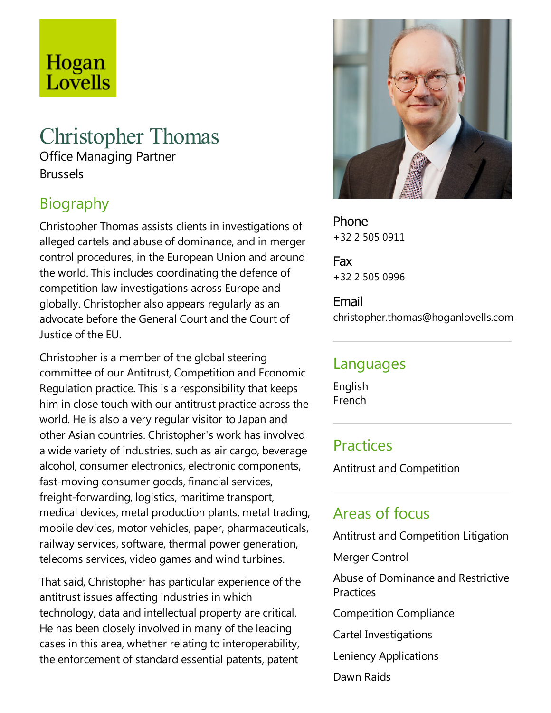# Hogan Lovells

## Christopher Thomas

Office Managing Partner Brussels

## Biography

Christopher Thomas assists clients in investigations of alleged cartels and abuse of dominance, and in merger control procedures, in the European Union and around the world.This includes coordinating the defence of competition law investigations across Europe and globally. Christopher also appears regularly as an advocate before the General Court and the Court of Justice of the EU.

Christopher is a member of the global steering committee of our Antitrust, Competition and Economic Regulation practice. This is a responsibility that keeps him in close touch with our antitrust practice across the world. He is also a very regular visitor to Japan and other Asian countries. Christopher's work has involved a wide variety of industries, such as air cargo, beverage alcohol, consumer electronics, electronic components, fast-moving consumer goods, financial services, freight-forwarding, logistics, maritime transport, medical devices, metal production plants, metal trading, mobile devices, motor vehicles, paper, pharmaceuticals, railway services, software, thermal power generation, telecoms services, video games and wind turbines.

That said, Christopher has particular experience of the antitrust issues affecting industries in which technology, data and intellectual property are critical. He has been closely involved in many of the leading cases in this area, whether relating to interoperability, the enforcement of standard essential patents, patent



Phone +32 2 505 0911

Fax +32 2 505 0996

Email christopher.thomas@hoganlovells.com

#### Languages

English French

#### **Practices**

Antitrust and Competition

### Areas of focus

Antitrust and Competition Litigation

Merger Control

Abuse of Dominance and Restrictive **Practices** 

Competition Compliance

Cartel Investigations

Leniency Applications

Dawn Raids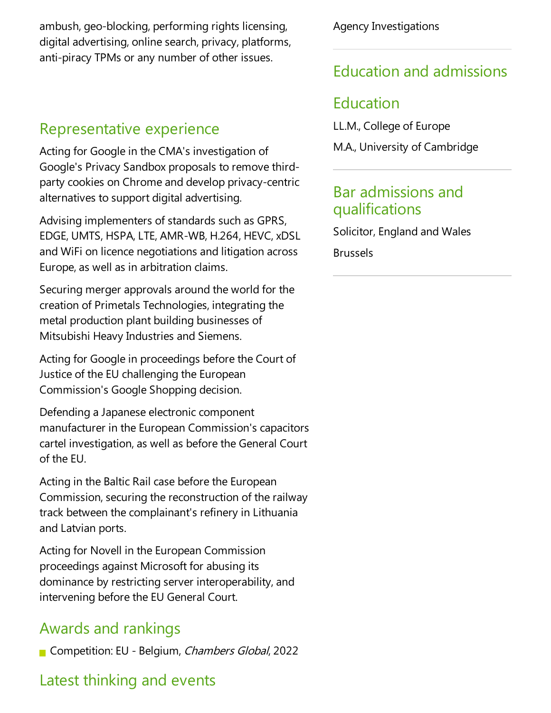ambush, geo-blocking, performing rights licensing, digital advertising, online search, privacy, platforms, anti-piracy TPMs or any number of other issues.

#### Representative experience

Acting for Google in the CMA's investigation of Google's Privacy Sandbox proposals to remove thirdparty cookies on Chrome and develop privacy-centric alternatives to support digital advertising.

Advising implementers of standards such as GPRS, EDGE, UMTS, HSPA,LTE, AMR-WB, H.264, HEVC,xDSL and WiFi on licence negotiations and litigation across Europe, as well as in arbitration claims.

Securing merger approvals around the world for the creation of Primetals Technologies, integrating the metal production plant building businesses of Mitsubishi Heavy Industries and Siemens.

Acting for Google in proceedings before the Court of Justice of the EU challenging the European Commission's Google Shopping decision.

Defending a Japanese electronic component manufacturer in the European Commission's capacitors cartel investigation, as well as before the General Court of the FU.

Acting in the Baltic Rail case before the European Commission, securing the reconstruction of the railway track between the complainant's refinery in Lithuania and Latvian ports.

Acting for Novell in the European Commission proceedings against Microsoft for abusing its dominance by restricting server interoperability, and intervening before the EU General Court.

## Awards and rankings

Competition: EU - Belgium, Chambers Global, 2022

## Latest thinking and events

Agency Investigations

## Education and admissions

## Education

LL.M., College of Europe

M.A., University of Cambridge

#### Bar admissions and qualifications

Solicitor, England and Wales Brussels